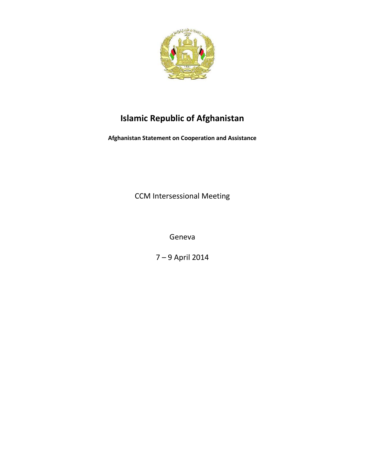

# **Islamic Republic of Afghanistan**

**Afghanistan Statement on Cooperation and Assistance** 

CCM Intersessional Meeting

Geneva

7 – 9 April 2014